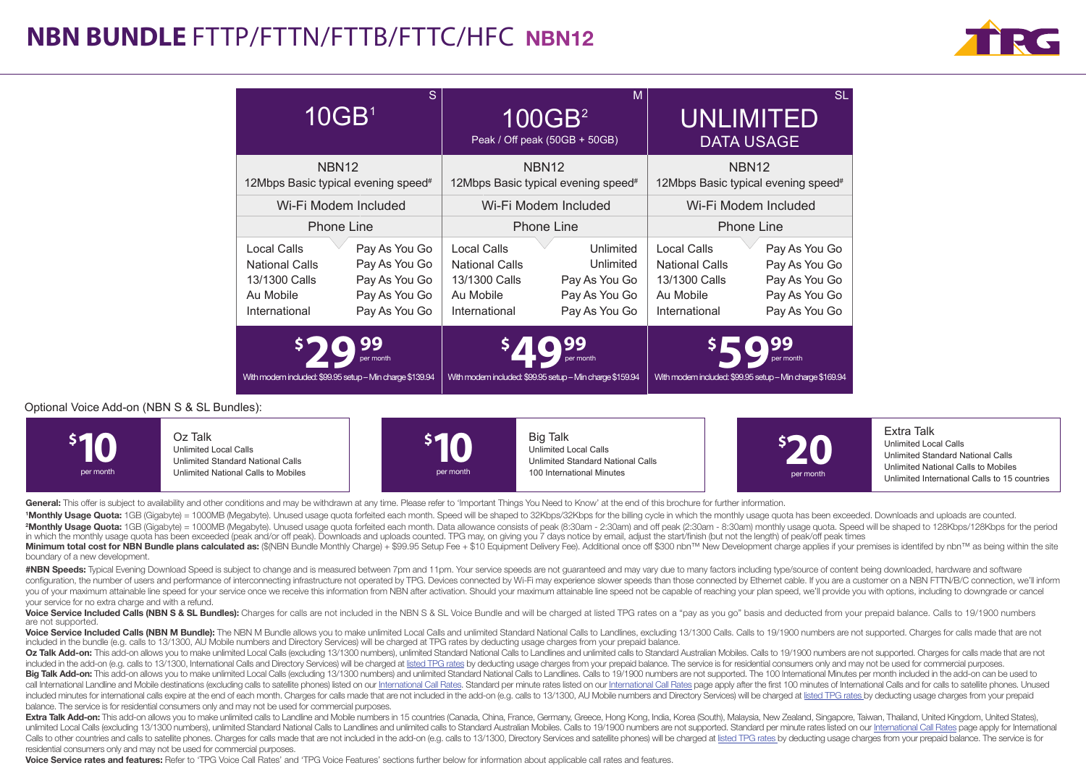

| S.<br>10GB <sup>1</sup>                                                             |                                                                                   | M<br>100GB <sup>2</sup><br>Peak / Off peak (50GB + 50GB)                            |                                                                           | <b>SL</b><br><b>UNLIMITED</b><br><b>DATA USAGE</b>                                  |                                                                                   |
|-------------------------------------------------------------------------------------|-----------------------------------------------------------------------------------|-------------------------------------------------------------------------------------|---------------------------------------------------------------------------|-------------------------------------------------------------------------------------|-----------------------------------------------------------------------------------|
| NBN <sub>12</sub><br>12Mbps Basic typical evening speed <sup>#</sup>                |                                                                                   | NBN <sub>12</sub><br>12Mbps Basic typical evening speed <sup>#</sup>                |                                                                           | NBN <sub>12</sub><br>12Mbps Basic typical evening speed <sup>#</sup>                |                                                                                   |
| Wi-Fi Modem Included                                                                |                                                                                   | Wi-Fi Modem Included                                                                |                                                                           | Wi-Fi Modem Included                                                                |                                                                                   |
| <b>Phone Line</b>                                                                   |                                                                                   | <b>Phone Line</b>                                                                   |                                                                           | <b>Phone Line</b>                                                                   |                                                                                   |
| Local Calls<br><b>National Calls</b><br>13/1300 Calls<br>Au Mobile<br>International | Pay As You Go<br>Pay As You Go<br>Pay As You Go<br>Pay As You Go<br>Pay As You Go | Local Calls<br><b>National Calls</b><br>13/1300 Calls<br>Au Mobile<br>International | Unlimited<br>Unlimited<br>Pay As You Go<br>Pay As You Go<br>Pay As You Go | Local Calls<br><b>National Calls</b><br>13/1300 Calls<br>Au Mobile<br>International | Pay As You Go<br>Pay As You Go<br>Pay As You Go<br>Pay As You Go<br>Pay As You Go |
| With modem included: \$99.95 setup - Min charge \$139.94                            |                                                                                   | With modem included: \$99.95 setup - Min charge \$159.94                            |                                                                           | With modem included: \$99.95 setup - Min charge \$169.94                            |                                                                                   |

#### Optional Voice Add-on (NBN S & SL Bundles):



General: This offer is subject to availability and other conditions and may be withdrawn at any time. Please refer to 'Important Things You Need to Know' at the end of this brochure for further information.

<sup>1</sup>Monthly Usage Quota: 1GB (Gigabyte) = 1000MB (Megabyte). Unused usage quota forfeited each month. Speed will be shaped to 32Kbps/32Kbps for the billing cycle in which the monthly usage quota has been exceeded. Downloads 2Monthly Usage Quota: 1GB (Gigabyte) = 1000MB (Megabyte). Unused usage quota forfeited each month. Data allowance consists of peak (8:30am - 2:30am) and off peak (2:30am - 8:30am) monthly usage quota. Speed will be shaped in which the monthly usage quota has been exceeded (peak and/or off peak). Downloads and uploads counted. TPG may, on giving you 7 days notice by email, adjust the start/finish (but not the length) of peak/off peak times

Minimum total cost for NBN Bundle plans calculated as: (\$(NBN Bundle Monthly Charge) + \$99.95 Setup Fee + \$10 Equipment Delivery Fee). Additional once off \$300 nbn™ New Development charge applies if your premises is ident boundary of a new development.

#NBN Speeds: Typical Evening Download Speed is subject to change and is measured between 7pm and 11pm. Your service speeds are not guaranteed and may vary due to many factors including type/source of content being download configuration, the number of users and performance of interconnecting infrastructure not operated by TPG. Devices connected by Wi-Fi may experience slower speeds than those connected by Ethernet cable. If you are a custome you of your maximum attainable line speed for your service once we receive this information from NBN after activation. Should your maximum attainable line speed not be capable of reaching your plan speed, we'll provide you your service for no extra charge and with a refund.

Voice Service Included Calls (NBN S & SL Bundles): Charges for calls are not included in the NBN S & SL Voice Bundle and will be charged at listed TPG rates on a "pay as you go" basis and deducted from your prepaid balance are not supported.

Voice Service Included Calls (NBN M Bundle): The NBN M Bundle allows you to make unlimited Local Calls and unlimited Standard National Calls to Landlines, excluding 13/1300 Calls. Calls to 19/1900 numbers are not supported included in the bundle (e.g. calls to 13/1300, AU Mobile numbers and Directory Services) will be charged at TPG rates by deducting usage charges from your prepaid balance.

Oz Talk Add-on: This add-on allows you to make unlimited Local Calls (excluding 13/1300 numbers) unlimited Standard National Calls to Landlines and unlimited calls to Standard Australian Mobiles. Calls to 19/1900 numbers a included in the add-on (e.g. calls to 13/1300, International Calls and Directory Services) will be charged at listed TPG rates by deducting usage charges from your prepaid balance. The service is for residential consumers Big Talk Add-on: This add-on allows you to make unlimited Local Calls (excluding 13/1300 numbers) and unlimited Standard National Calls to Landlines. Calls to 19/1900 numbers are not supported. The 100 International Minute call International Landline and Mobile destinations (excluding calls to satellite phones) listed on our International Call Rates. Standard per minute rates listed on our International Call Rates page apply after the first included minutes for international calls expire at the end of each month. Charges for calls made that are not included in the add-on (e.g. calls to 13/1300, AU Mobile numbers and Directory Services) will be charged at list balance. The service is for residential consumers only and may not be used for commercial purposes.

Extra Talk Add-on: This add-on allows you to make unlimited calls to Landline and Mobile numbers in 15 countries (Canada, China, France, Germany, Greece, Hong Kong, India, Korea (South), Malaysia, New Zealand, Singapore, T unlimited Local Calls (excluding 13/1300 numbers), unlimited Standard National Calls to Landlines and unlimited calls to Standard Australian Mobiles. Calls to 19/1900 numbers are not supported. Standard per minute rates li Calls to other countries and calls to satellite phones. Charges for calls made that are not included in the add-on (e.g. calls to 13/1300, Directory Services and satellite phones) will be charged at listed TPG rates by ded residential consumers only and may not be used for commercial purposes.

Voice Service rates and features: Refer to 'TPG Voice Call Rates' and 'TPG Voice Features' sections further below for information about applicable call rates and features.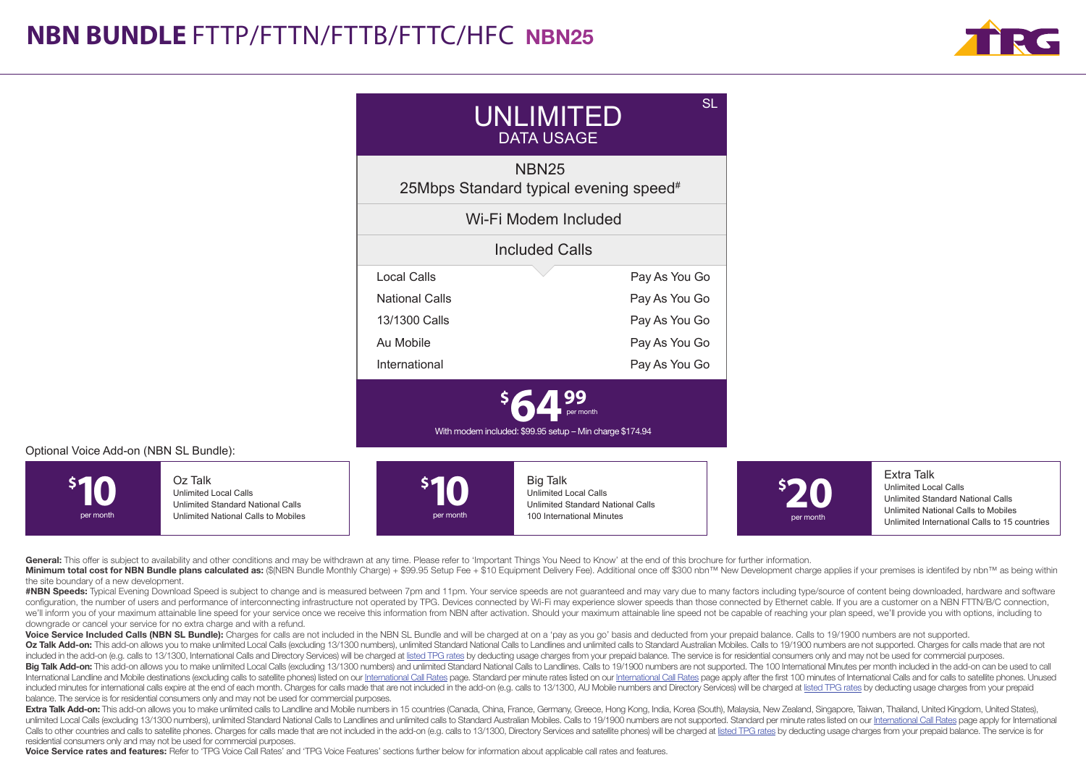

| UNLIMITED<br><b>DATA USAGE</b>                                     | <b>SL</b>     |  |  |  |  |
|--------------------------------------------------------------------|---------------|--|--|--|--|
| <b>NBN25</b><br>25Mbps Standard typical evening speed <sup>#</sup> |               |  |  |  |  |
| Wi-Fi Modem Included                                               |               |  |  |  |  |
| <b>Included Calls</b>                                              |               |  |  |  |  |
| <b>Local Calls</b>                                                 | Pay As You Go |  |  |  |  |
| <b>National Calls</b>                                              | Pay As You Go |  |  |  |  |
| 13/1300 Calls                                                      | Pay As You Go |  |  |  |  |
| Au Mobile                                                          | Pay As You Go |  |  |  |  |
| International                                                      | Pay As You Go |  |  |  |  |
| With modem included: \$99.95 setup - Min charge \$174.94           |               |  |  |  |  |

#### Optional Voice Add-on (NBN SL Bundle):



General: This offer is subject to availability and other conditions and may be withdrawn at any time. Please refer to 'Important Things You Need to Know' at the end of this brochure for further information.

Minimum total cost for NBN Bundle plans calculated as: (\$(NBN Bundle Monthly Charge) + \$99.95 Setup Fee + \$10 Equipment Delivery Fee). Additional once off \$300 nbn™ New Development charge applies if your premises is ident the site boundary of a new development.

#NBN Speeds: Tvoical Evening Download Speed is subject to change and is measured between 7pm and 11pm. Your service speeds are not quaranteed and may vary due to many factors including type/source of content being download configuration, the number of users and performance of interconnecting infrastructure not operated by TPG. Devices connected by Wi-Fi may experience slower speeds than those connected by Ethernet cable. If you are a custome we'll inform you of your maximum attainable line speed for your service once we receive this information from NBN after activation. Should your maximum attainable line speed not be capable of reaching your plan speed, we'l downgrade or cancel your service for no extra charge and with a refund.

Voice Service Included Calls (NBN SL Bundle): Charges for calls are not included in the NBN SL Bundle and will be charged at on a 'pay as you go' basis and deducted from your prepaid balance. Calls to 19/1900 numbers are n

Oz Talk Add-on: This add-on allows you to make unlimited Local Calls (excluding 13/1300 numbers), unlimited Standard National Calls to Landlines and unlimited calls to Standard Australian Mobiles. Calls to 19/1900 numbers included in the add-on (e.g. calls to 13/1300, International Calls and Directory Services) will be charged at listed TPG rates by deducting usage charges from your prepaid balance. The service is for residential consumers Big Talk Add-on: This add-on allows you to make unlimited Local Calls (excluding 13/1300 numbers) and unlimited Standard National Calls to Landlines. Calls to 19/1900 numbers are not supported. The 100 International Minute International Landline and Mobile destinations (excluding calls to satellite phones) listed on our International Call Rates page. Standard per minute rates listed on our International Call Rates page apply after the first included minutes for international calls expire at the end of each month. Charges for calls made that are not included in the add-on (e.g. calls to 13/1300, AU Mobile numbers and Directory Services) will be charged at list balance. The service is for residential consumers only and may not be used for commercial purposes.

Extra Talk Add-on: This add-on allows you to make unlimited calls to Landline and Mobile numbers in 15 countries (Canada, China, France, Germany, Greece, Hong Kong, India, Korea (South), Malaysia, New Zealand, Singapore, T unlimited Local Calls (excluding 13/1300 numbers), unlimited Standard National Calls to Landlines and unlimited calls to Standard Australian Mobiles. Calls to 19/1900 numbers are not supported. Standard per minute rates li Calls to other countries and calls to satellite phones. Charges for calls made that are not included in the add-on (e.g. calls to 13/1300, Directory Services and satellite phones) will be charged at listed TPG rates by ded residential consumers only and may not be used for commercial purposes.

Voice Service rates and features: Refer to 'TPG Voice Call Rates' and 'TPG Voice Features' sections further below for information about applicable call rates and features.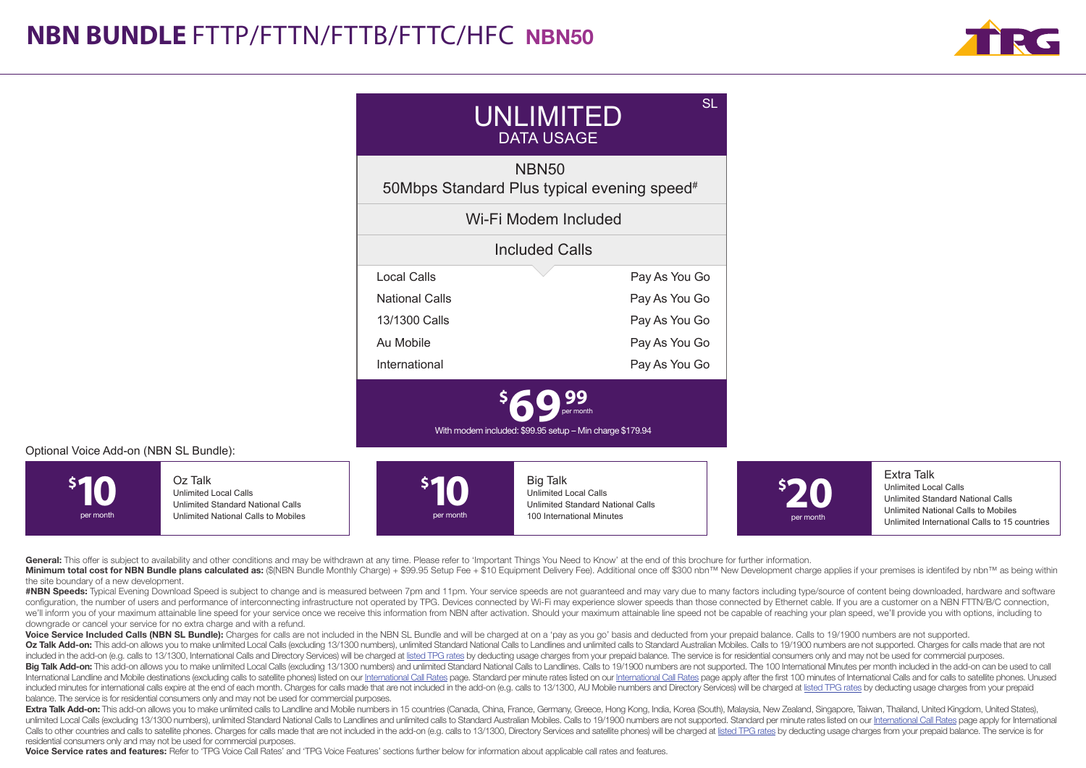

| SL<br>UNLIMITED<br><b>DATA USAGE</b>                                    |               |  |  |  |  |
|-------------------------------------------------------------------------|---------------|--|--|--|--|
| <b>NBN50</b><br>50Mbps Standard Plus typical evening speed <sup>#</sup> |               |  |  |  |  |
| Wi-Fi Modem Included                                                    |               |  |  |  |  |
| <b>Included Calls</b>                                                   |               |  |  |  |  |
| Local Calls                                                             | Pay As You Go |  |  |  |  |
| National Calls                                                          | Pay As You Go |  |  |  |  |
| 13/1300 Calls                                                           | Pay As You Go |  |  |  |  |
| Au Mobile                                                               | Pay As You Go |  |  |  |  |
| International                                                           | Pay As You Go |  |  |  |  |
| With modem included: \$99.95 setup - Min charge \$179.94                |               |  |  |  |  |

### Optional Voice Add-on (NBN SL Bundle):



General: This offer is subject to availability and other conditions and may be withdrawn at any time. Please refer to 'Important Things You Need to Know' at the end of this brochure for further information.

Minimum total cost for NBN Bundle plans calculated as: (\$(NBN Bundle Monthly Charge) + \$99.95 Setup Fee + \$10 Equipment Delivery Fee). Additional once off \$300 nbn™ New Development charge applies if your premises is ident the site boundary of a new development.

#NBN Speeds: Tvoical Evening Download Speed is subject to change and is measured between 7pm and 11pm. Your service speeds are not quaranteed and may vary due to many factors including type/source of content being download configuration, the number of users and performance of interconnecting infrastructure not operated by TPG. Devices connected by Wi-Fi may experience slower speeds than those connected by Ethernet cable. If you are a custome we'll inform you of your maximum attainable line speed for your service once we receive this information from NBN after activation. Should your maximum attainable line speed not be capable of reaching your plan speed, we'l downgrade or cancel your service for no extra charge and with a refund.

Voice Service Included Calls (NBN SL Bundle): Charges for calls are not included in the NBN SL Bundle and will be charged at on a 'pay as you go' basis and deducted from your prepaid balance. Calls to 19/1900 numbers are n Oz Talk Add-on: This add-on allows you to make unlimited Local Calls (excluding 13/1300 numbers), unlimited Standard National Calls to Landlines and unlimited calls to Standard Australian Mobiles. Calls to 19/1900 numbers

included in the add-on (e.g. calls to 13/1300, International Calls and Directory Services) will be charged at listed TPG rates by deducting usage charges from your prepaid balance. The service is for residential consumers Big Talk Add-on: This add-on allows you to make unlimited Local Calls (excluding 13/1300 numbers) and unlimited Standard National Calls to Landlines. Calls to 19/1900 numbers are not supported. The 100 International Minute International Landline and Mobile destinations (excluding calls to satellite phones) listed on our International Call Rates page. Standard per minute rates listed on our International Call Rates page apply after the first included minutes for international calls expire at the end of each month. Charges for calls made that are not included in the add-on (e.g. calls to 13/1300, AU Mobile numbers and Directory Services) will be charged at list balance. The service is for residential consumers only and may not be used for commercial purposes.

Extra Talk Add-on: This add-on allows you to make unlimited calls to Landline and Mobile numbers in 15 countries (Canada, China, France, Germany, Greece, Hong Kong, India, Korea (South), Malaysia, New Zealand, Singapore, T unlimited Local Calls (excluding 13/1300 numbers), unlimited Standard National Calls to Landlines and unlimited calls to Standard Australian Mobiles. Calls to 19/1900 numbers are not supported. Standard per minute rates li Calls to other countries and calls to satellite phones. Charges for calls made that are not included in the add-on (e.g. calls to 13/1300, Directory Services and satellite phones) will be charged at listed TPG rates by ded residential consumers only and may not be used for commercial purposes.

Voice Service rates and features: Refer to 'TPG Voice Call Rates' and 'TPG Voice Features' sections further below for information about applicable call rates and features.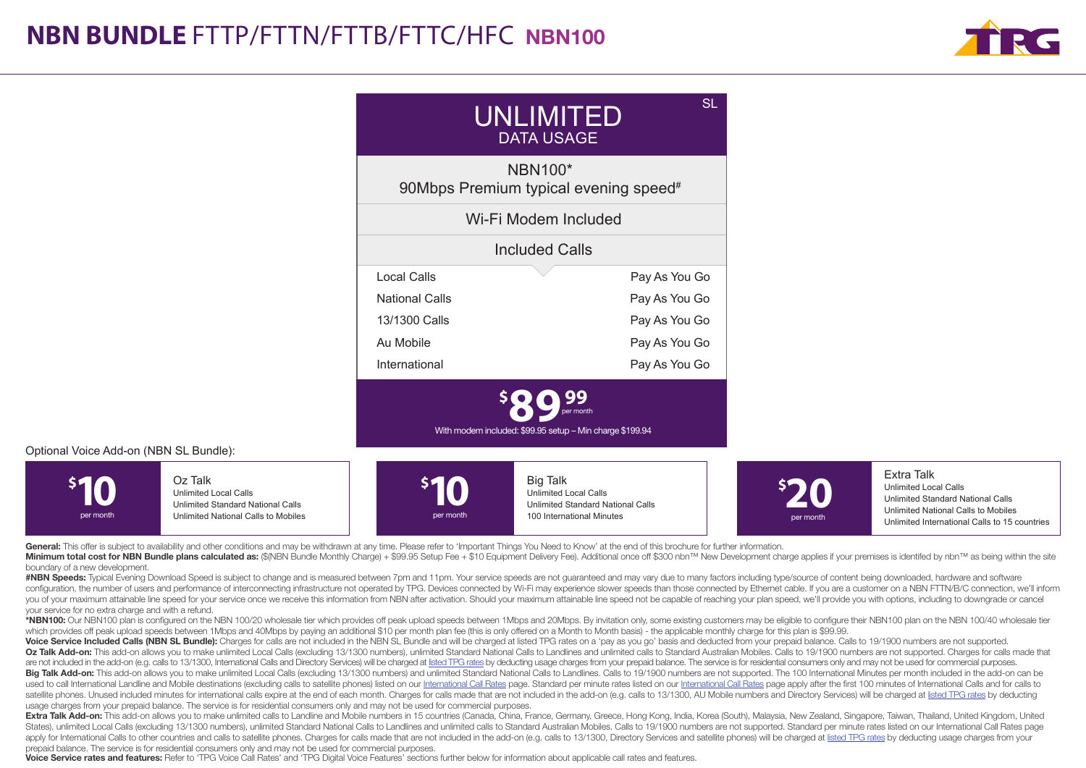

| UNLIMITED<br><b>DATA USAGE</b>                                      |               |  |  |  |
|---------------------------------------------------------------------|---------------|--|--|--|
| <b>NBN100*</b><br>90Mbps Premium typical evening speed <sup>#</sup> |               |  |  |  |
| Wi-Fi Modem Included                                                |               |  |  |  |
| <b>Included Calls</b>                                               |               |  |  |  |
| Local Calls                                                         | Pay As You Go |  |  |  |
| <b>National Calls</b>                                               | Pay As You Go |  |  |  |
| 13/1300 Calls                                                       | Pay As You Go |  |  |  |
| Au Mobile                                                           | Pay As You Go |  |  |  |
| International                                                       | Pay As You Go |  |  |  |
| With modem included: \$99.95 setup - Min charge \$199.94            |               |  |  |  |

### Optional Voice Add-on (NBN SL Bundle):



General: This offer is subject to availability and other conditions and may be withdrawn at any time. Please refer to 'Important Things You Need to Know' at the end of this brochure for further information.

Minimum total cost for NBN Bundle plans calculated as: (\$/NBN Bundle Monthly Charge) + \$99.95 Setup Fee + \$10 Equipment Delivery Fee). Additional once off \$300 nbn™ New Development charge applies if your premises is ident boundary of a new development.

#NBN Speeds: Typical Evening Download Speed is subject to change and is measured between 7pm and 11pm. Your service speeds are not guaranteed and may vary due to many factors including type/source of content being download configuration, the number of users and performance of interconnecting infrastructure not operated by TPG. Devices connected by Wi-Fi may experience slower speeds than those connected by Ethernet cable. If you are a custome you of your maximum attainable line speed for your service once we receive this information from NBN after activation. Should your maximum attainable line speed not be canable of reaching your plan speed, we'll provide you your service for no extra charge and with a refund.

\*NBN100; Our NBN100 plan is configured on the NBN 100/20 wholesale tier which provides off peak upload speeds between 1Mbps and 20Mbps. By invitation only, some existing customers may be eligible to configure their NBN100 which provides off peak upload speeds between 1Mbps and 40Mbps by paying an additional \$10 per month plan fee (this is only offered on a Month to Month basis) - the applicable monthly charge for this plan is \$99.99.

Voice Service Included Calls (NBN SL Bundle): Charges for calls are not included in the NBN SL Bundle and will be charged at listed TPG rates on a 'pay as you go' basis and deducted from your prepaid balance. Calls to 19/1 Oz Talk Add-on: This add-on allows you to make unlimited Local Calls (excluding 13/1300 numbers), unlimited Standard National Calls to Landlines and unlimited calls to Standard Australian Mobiles, Calls to 19/1900 numbers are not included in the add-on (e.g. calls to 13/1300, International Calls and Directory Services) will be charged at listed TPG rates by deducting usage charges from your prepaid balance. The service is for residential co Big Talk Add-on: This add-on allows you to make unlimited Local Calls (excluding 13/1300 numbers) and unlimited Standard National Calls to Landlines. Calls to 19/1900 numbers are not supported. The 100 International Minute used to call International Landline and Mobile destinations (excluding calls to satellite phones) listed on our International Call Rates page. Standard per minute rates listed on our International Call Rates page apply aft satellite phones. Unused included minutes for international calls expire at the end of each month. Charges for calls made that are not included in the add-on (e.g. calls to 13/1300, AU Mobile numbers and Directory Services usage charges from your prepaid balance. The service is for residential consumers only and may not be used for commercial purposes.

Extra Talk Add-on: This add-on allows you to make unlimited calls to Landline and Mobile numbers in 15 countries (Canada, China, France, Germany, Greece, Hong Kong, India, Korea (South), Malaysia, New Zealand, Singapore, T States), unlimited Local Calls (excluding 13/1300 numbers), unlimited Standard National Calls to Landlines and unlimited calls to Standard Australian Mobiles. Calls to 19/1900 numbers are not supported. Standard per minute apply for International Calls to other countries and calls to satellite phones. Charges for calls made that are not included in the add-on (e.g. calls to 13/1300. Directory Services and satellite phones) will be charged at prepaid balance. The service is for residential consumers only and may not be used for commercial purposes.

Voice Service rates and features: Refer to 'TPG Voice Call Rates' and 'TPG Digital Voice Features' sections further below for information about applicable call rates and features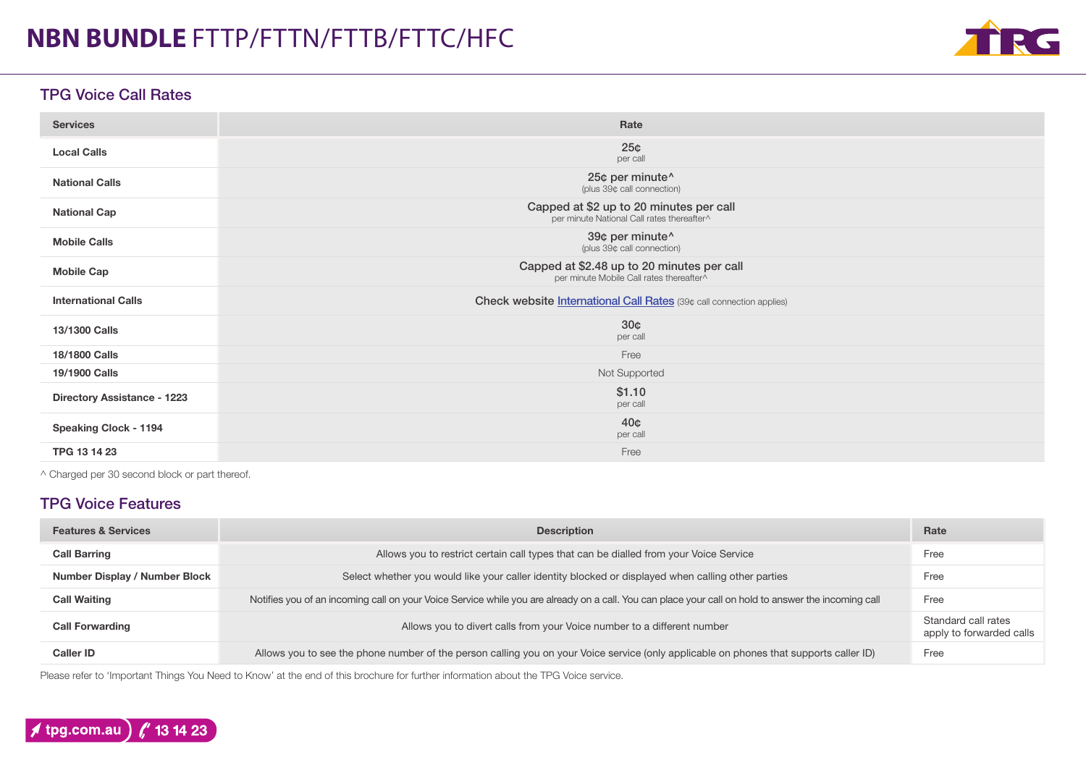

### TPG Voice Call Rates

| <b>Services</b>                    | Rate                                                                                   |
|------------------------------------|----------------------------------------------------------------------------------------|
| <b>Local Calls</b>                 | 25 <sub>¢</sub><br>per call                                                            |
| <b>National Calls</b>              | 25¢ per minute^<br>(plus 39¢ call connection)                                          |
| <b>National Cap</b>                | Capped at \$2 up to 20 minutes per call<br>per minute National Call rates thereafter^  |
| <b>Mobile Calls</b>                | 39¢ per minute^<br>(plus 39¢ call connection)                                          |
| <b>Mobile Cap</b>                  | Capped at \$2.48 up to 20 minutes per call<br>per minute Mobile Call rates thereafter^ |
| <b>International Calls</b>         | Check website <i>International Call Rates</i> (39¢ call connection applies)            |
| 13/1300 Calls                      | 30 <sub>0</sub><br>per call                                                            |
| 18/1800 Calls                      | Free                                                                                   |
| 19/1900 Calls                      | Not Supported                                                                          |
| <b>Directory Assistance - 1223</b> | \$1.10<br>per call                                                                     |
| <b>Speaking Clock - 1194</b>       | 40 <sub>¢</sub><br>per call                                                            |
| TPG 13 14 23                       | Free                                                                                   |

^ Charged per 30 second block or part thereof.

### TPG Voice Features

| <b>Features &amp; Services</b> | <b>Description</b>                                                                                                                                  | Rate                                            |
|--------------------------------|-----------------------------------------------------------------------------------------------------------------------------------------------------|-------------------------------------------------|
| <b>Call Barring</b>            | Allows you to restrict certain call types that can be dialled from your Voice Service                                                               | Free                                            |
| Number Display / Number Block  | Select whether you would like your caller identity blocked or displayed when calling other parties                                                  | Free                                            |
| <b>Call Waiting</b>            | Notifies you of an incoming call on your Voice Service while you are already on a call. You can place your call on hold to answer the incoming call | Free                                            |
| <b>Call Forwarding</b>         | Allows you to divert calls from your Voice number to a different number                                                                             | Standard call rates<br>apply to forwarded calls |
| <b>Caller ID</b>               | Allows you to see the phone number of the person calling you on your Voice service (only applicable on phones that supports caller ID)              | Free                                            |

Please refer to 'Important Things You Need to Know' at the end of this brochure for further information about the TPG Voice service.